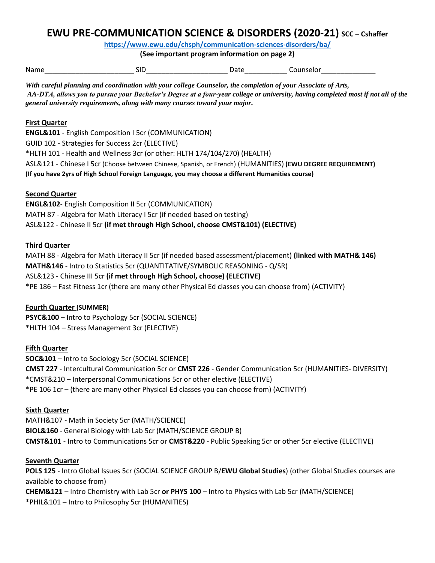# **EWU PRE-COMMUNICATION SCIENCE & DISORDERS (2020-21) SCC – Cshaffer**

**<https://www.ewu.edu/chsph/communication-sciences-disorders/ba/>**

**(See important program information on page 2)** 

Name Counselor SID SID Date Counselor

 *With careful planning and coordination with your college Counselor, the completion of your Associate of Arts, AA-DTA, allows you to pursue your Bachelor's Degree at a four-year college or university, having completed most if not all of the general university requirements, along with many courses toward your major.* 

#### **First Quarter**

**ENGL&101** - English Composition I 5cr (COMMUNICATION) GUID 102 - Strategies for Success 2cr (ELECTIVE) \*HLTH 101 - Health and Wellness 3cr (or other: HLTH 174/104/270) (HEALTH) ASL&121 - Chinese I 5cr (Choose between Chinese, Spanish, or French) (HUMANITIES) **(EWU DEGREE REQUIREMENT) (If you have 2yrs of High School Foreign Language, you may choose a different Humanities course)** 

## **Second Quarter**

 MATH 87 - Algebra for Math Literacy I 5cr (if needed based on testing)  ASL&122 - Chinese II 5cr **(if met through High School, choose CMST&101) (ELECTIVE) ENGL&102**- English Composition II 5cr (COMMUNICATION)

#### **Third Quarter**

 MATH 88 - Algebra for Math Literacy II 5cr (if needed based assessment/placement) **(linked with MATH& 146) MATH&146** - Intro to Statistics 5cr (QUANTITATIVE/SYMBOLIC REASONING - Q/SR) ASL&123 - Chinese III 5cr **(if met through High School, choose) (ELECTIVE)**  \*PE 186 – Fast Fitness 1cr (there are many other Physical Ed classes you can choose from) (ACTIVITY)

## **Fourth Quarter (SUMMER)**

**PSYC&100** – Intro to Psychology 5cr (SOCIAL SCIENCE) \*HLTH 104 – Stress Management 3cr (ELECTIVE)

## **Fifth Quarter**

**SOC&101** – Intro to Sociology 5cr (SOCIAL SCIENCE) **CMST 227** - Intercultural Communication 5cr or **CMST 226** - Gender Communication 5cr (HUMANITIES- DIVERSITY) \*CMST&210 – Interpersonal Communications 5cr or other elective (ELECTIVE) \*PE 106 1cr – (there are many other Physical Ed classes you can choose from) (ACTIVITY)

#### **Sixth Quarter**

MATH&107 - Math in Society 5cr (MATH/SCIENCE) **BIOL&160** - General Biology with Lab 5cr (MATH/SCIENCE GROUP B) **CMST&101** - Intro to Communications 5cr or **CMST&220** - Public Speaking 5cr or other 5cr elective (ELECTIVE)

#### **Seventh Quarter**

 **POLS 125** - Intro Global Issues 5cr (SOCIAL SCIENCE GROUP B/**EWU Global Studies**) (other Global Studies courses are **CHEM&121** – Intro Chemistry with Lab 5cr **or PHYS 100** – Intro to Physics with Lab 5cr (MATH/SCIENCE) available to choose from) \*PHIL&101 – Intro to Philosophy 5cr (HUMANITIES)